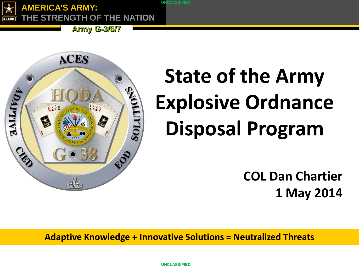**AMERICA'S ARMY: E STRENGTH OF THE NATION** 

**Army G-3/5/7** 



# **State of the Army Explosive Ordnance Disposal Program**

**COL Dan Chartier 1 May 2014**

**Adaptive Knowledge + Innovative Solutions = Neutralized Threats**

**UNCLASSIFIED**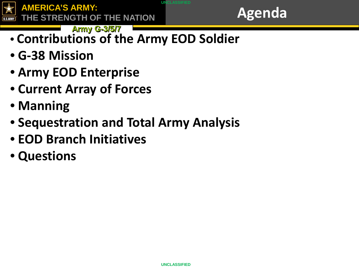



- **Army G-3/5/7 Agency Contract of Army G-3/5/7** • **Contributions of the Army EOD Soldier**
- **G-38 Mission**
- **Army EOD Enterprise**
- **Current Array of Forces**
- **Manning**
- **Sequestration and Total Army Analysis**
- **EOD Branch Initiatives**
- **Questions**

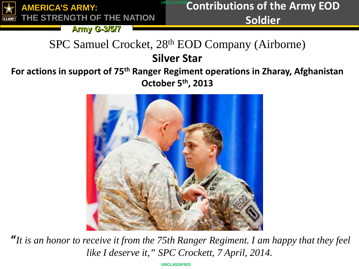

## **UNCLASSIFIE Contributions of the Army EOD Soldier**

**Army G-3/5/7** 

## SPC Samuel Crocket, 28th EOD Company (Airborne) **Silver Star**

## **For actions in support of 75th Ranger Regiment operations in Zharay, Afghanistan October 5th, 2013**



**"***It is an honor to receive it from the 75th Ranger Regiment. I am happy that they feel like I deserve it," SPC Crockett, 7 April, 2014.*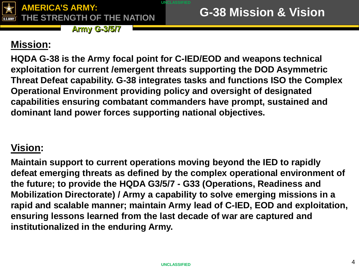

**Army G-3/5/7** 

## **Mission:**

**HQDA G-38 is the Army focal point for C-IED/EOD and weapons technical exploitation for current /emergent threats supporting the DOD Asymmetric Threat Defeat capability. G-38 integrates tasks and functions ISO the Complex Operational Environment providing policy and oversight of designated capabilities ensuring combatant commanders have prompt, sustained and dominant land power forces supporting national objectives.**

## **Vision:**

**Maintain support to current operations moving beyond the IED to rapidly defeat emerging threats as defined by the complex operational environment of the future; to provide the HQDA G3/5/7 - G33 (Operations, Readiness and Mobilization Directorate) / Army a capability to solve emerging missions in a rapid and scalable manner; maintain Army lead of C-IED, EOD and exploitation, ensuring lessons learned from the last decade of war are captured and institutionalized in the enduring Army.**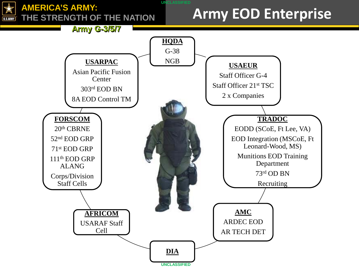#### **AMERICA'S ARMY: THE STRENGTH OF THE NATION** U.S.ARMY

## **Army EOD Enterprise**



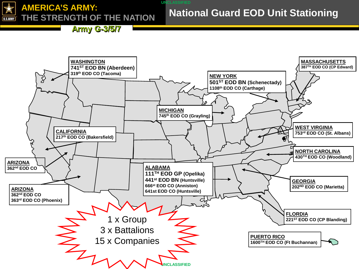

## **National Guard EOD Unit Stationing**

**Army G-3/5/7** 

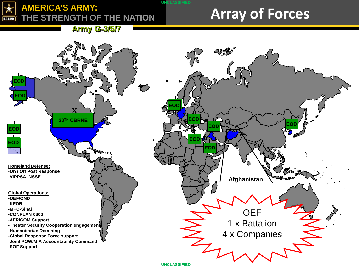#### **AMERICA'S ARMY: THE STRENGTH OF THE NATION** U.S.ARMY

## **Array of Forces**

**Army G-3/5/7** 

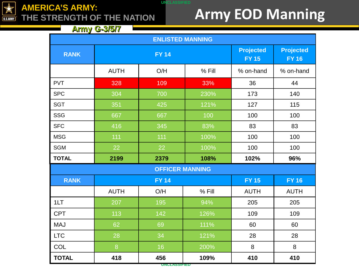

### **AMERICA'S ARMY: THE STRENGTH OF THE NATION**

## **Army EOD Manning**

**Army G-3/5/7** 

| <b>ENLISTED MANNING</b> |              |              |        |                                  |                                  |
|-------------------------|--------------|--------------|--------|----------------------------------|----------------------------------|
| <b>RANK</b>             | <b>FY 14</b> |              |        | <b>Projected</b><br><b>FY 15</b> | <b>Projected</b><br><b>FY 16</b> |
|                         | <b>AUTH</b>  | O/H          | % Fill | % on-hand                        | % on-hand                        |
| <b>PVT</b>              | 328          | 109          | 33%    | 36                               | 44                               |
| <b>SPC</b>              | 304          | 700          | 230%   | 173                              | 140                              |
| <b>SGT</b>              | 351          | 425          | 121%   | 127                              | 115                              |
| <b>SSG</b>              | 667          | 667          | 100    | 100                              | 100                              |
| <b>SFC</b>              | 416          | 345          | 83%    | 83                               | 83                               |
| <b>MSG</b>              | 111          | 111          | 100%   | 100                              | 100                              |
| <b>SGM</b>              | 22           | 22           | 100%   | 100                              | 100                              |
| <b>TOTAL</b>            | 2199         | 2379         | 108%   | 102%                             | 96%                              |
| <b>OFFICER MANNING</b>  |              |              |        |                                  |                                  |
| <b>RANK</b>             |              | <b>FY 14</b> |        | <b>FY 15</b>                     | <b>FY 16</b>                     |
|                         | <b>AUTH</b>  | O/H          | % Fill | <b>AUTH</b>                      | <b>AUTH</b>                      |
| 1LT                     | 207          | 195          | 94%    | 205                              | 205                              |
| <b>CPT</b>              | 113          | 142          | 126%   | 109                              | 109                              |
| <b>MAJ</b>              | 62           | 69           | 111%   | 60                               | 60                               |
| <b>LTC</b>              | 28           | 34           | 121%   | 28                               | 28                               |
| COL                     | 8            | 16           | 200%   | 8                                | 8                                |
| <b>TOTAL</b>            | 418          | 456          | 109%   | 410                              | 410                              |

**UNCLASSIFIED**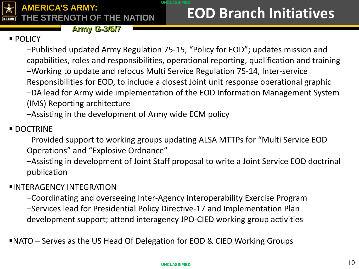

### **UNCLASSIFIED EOD Branch Initiatives**

## **POLICY**

–Published updated Army Regulation 75-15, "Policy for EOD"; updates mission and capabilities, roles and responsibilities, operational reporting, qualification and training –Working to update and refocus Multi Service Regulation 75-14, Inter-service Responsibilities for EOD, to include a closest Joint unit response operational graphic –DA lead for Army wide implementation of the EOD Information Management System (IMS) Reporting architecture

–Assisting in the development of Army wide ECM policy

### **DOCTRINE**

–Provided support to working groups updating ALSA MTTPs for "Multi Service EOD Operations" and "Explosive Ordnance"

–Assisting in development of Joint Staff proposal to write a Joint Service EOD doctrinal publication

### INTERAGENCY INTEGRATION

–Coordinating and overseeing Inter-Agency Interoperability Exercise Program –Services lead for Presidential Policy Directive-17 and Implementation Plan development support; attend interagency JPO-CIED working group activities

NATO – Serves as the US Head Of Delegation for EOD & CIED Working Groups